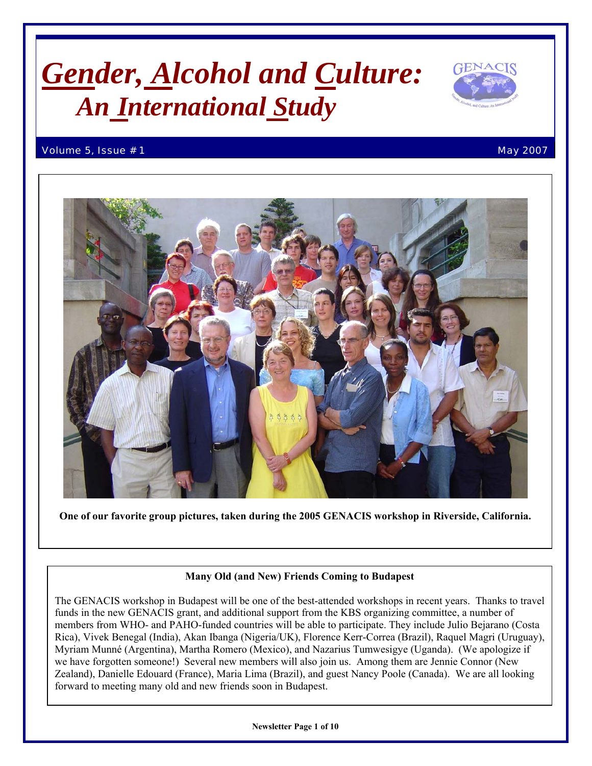# *Gender, Alcohol and Culture: An International Study*



#### Volume 5, Issue # 1 May 2007



 **One of our favorite group pictures, taken during the 2005 GENACIS workshop in Riverside, California.**

#### **Many Old (and New) Friends Coming to Budapest**

 Zealand), Danielle Edouard (France), Maria Lima (Brazil), and guest Nancy Poole (Canada). We are all looking  forward to meeting many old and new friends soon in Budapest. The GENACIS workshop in Budapest will be one of the best-attended workshops in recent years. Thanks to travel funds in the new GENACIS grant, and additional support from the KBS organizing committee, a number of members from WHO- and PAHO-funded countries will be able to participate. They include Julio Bejarano (Costa Rica), Vivek Benegal (India), Akan Ibanga (Nigeria/UK), Florence Kerr-Correa (Brazil), Raquel Magri (Uruguay), Myriam Munné (Argentina), Martha Romero (Mexico), and Nazarius Tumwesigye (Uganda). (We apologize if we have forgotten someone!) Several new members will also join us. Among them are Jennie Connor (New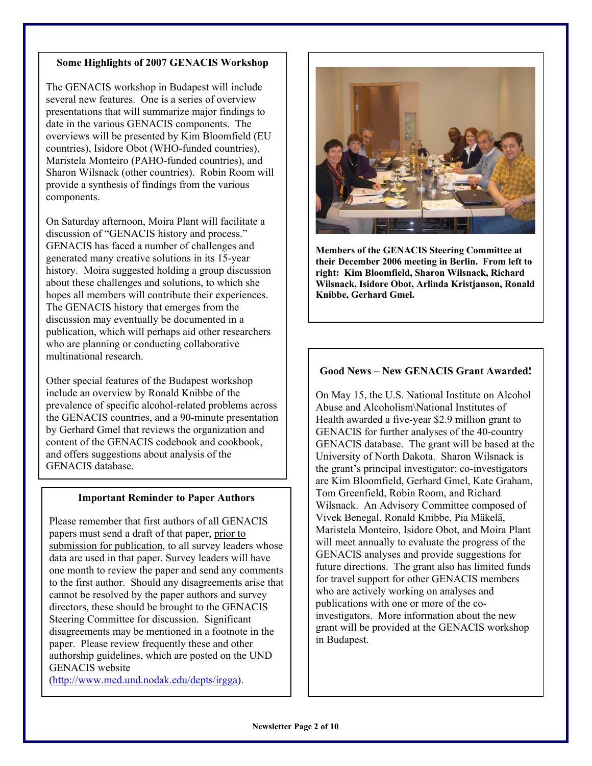### **Some Highlights of 2007 GENACIS Workshop**

The GENACIS workshop in Budapest will include several new features. One is a series of overview presentations that will summarize major findings to date in the various GENACIS components. The overviews will be presented by Kim Bloomfield (EU countries), Isidore Obot (WHO-funded countries), Maristela Monteiro (PAHO-funded countries), and Sharon Wilsnack (other countries). Robin Room will provide a synthesis of findings from the various components.

On Saturday afternoon, Moira Plant will facilitate a discussion of "GENACIS history and process." GENACIS has faced a number of challenges and generated many creative solutions in its 15-year history. Moira suggested holding a group discussion about these challenges and solutions, to which she hopes all members will contribute their experiences. The GENACIS history that emerges from the discussion may eventually be documented in a publication, which will perhaps aid other researchers who are planning or conducting collaborative multinational research.

Other special features of the Budapest workshop include an overview by Ronald Knibbe of the prevalence of specific alcohol-related problems across the GENACIS countries, and a 90-minute presentation by Gerhard Gmel that reviews the organization and content of the GENACIS codebook and cookbook, and offers suggestions about analysis of the GENACIS database.

#### **Important Reminder to Paper Authors**

Please remember that first authors of all GENACIS papers must send a draft of that paper, prior to submission for publication, to all survey leaders whose data are used in that paper. Survey leaders will have one month to review the paper and send any comments to the first author. Should any disagreements arise that cannot be resolved by the paper authors and survey directors, these should be brought to the GENACIS Steering Committee for discussion. Significant disagreements may be mentioned in a footnote in the paper. Please review frequently these and other authorship guidelines, which are posted on the UND GENACIS website

[\(http://www.med.und.nodak.edu/depts/irgga\)](http://www.med.und.nodak.edu/depts/irgga).



**Members of the GENACIS Steering Committee at their December 2006 meeting in Berlin. From left to right: Kim Bloomfield, Sharon Wilsnack, Richard Wilsnack, Isidore Obot, Arlinda Kristjanson, Ronald Knibbe, Gerhard Gmel.** 

#### **Good News – New GENACIS Grant Awarded!**

On May 15, the U.S. National Institute on Alcohol Abuse and Alcoholism\National Institutes of Health awarded a five-year \$2.9 million grant to GENACIS for further analyses of the 40-country GENACIS database. The grant will be based at the University of North Dakota. Sharon Wilsnack is the grant's principal investigator; co-investigators are Kim Bloomfield, Gerhard Gmel, Kate Graham, Tom Greenfield, Robin Room, and Richard Wilsnack. An Advisory Committee composed of Vivek Benegal, Ronald Knibbe, Pia Mäkelä, Maristela Monteiro, Isidore Obot, and Moira Plant will meet annually to evaluate the progress of the GENACIS analyses and provide suggestions for future directions. The grant also has limited funds for travel support for other GENACIS members who are actively working on analyses and publications with one or more of the coinvestigators. More information about the new grant will be provided at the GENACIS workshop in Budapest.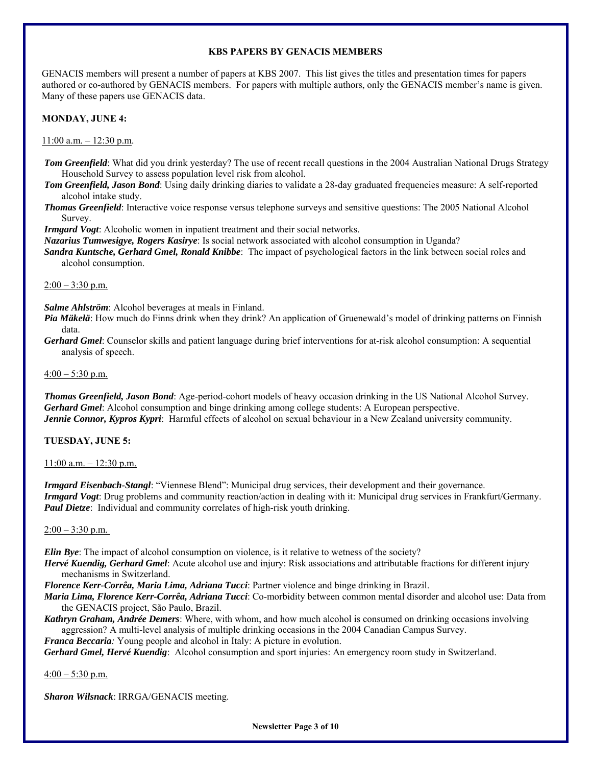#### **KBS PAPERS BY GENACIS MEMBERS**

GENACIS members will present a number of papers at KBS 2007. This list gives the titles and presentation times for papers authored or co-authored by GENACIS members. For papers with multiple authors, only the GENACIS member's name is given. Many of these papers use GENACIS data.

**MONDAY, JUNE 4:** 

 $11:00$  a.m.  $-12:30$  p.m.

*Tom Greenfield*: What did you drink yesterday? The use of recent recall questions in the 2004 Australian National Drugs Strategy Household Survey to assess population level risk from alcohol.

*Tom Greenfield, Jason Bond*: Using daily drinking diaries to validate a 28-day graduated frequencies measure: A self-reported alcohol intake study.

*Thomas Greenfield*: Interactive voice response versus telephone surveys and sensitive questions: The 2005 National Alcohol Survey.

*Irmgard Vogt*: Alcoholic women in inpatient treatment and their social networks.

*Nazarius Tumwesigye, Rogers Kasirye*: Is social network associated with alcohol consumption in Uganda?

*Sandra Kuntsche, Gerhard Gmel, Ronald Knibbe*: The impact of psychological factors in the link between social roles and alcohol consumption.

#### $2:00 - 3:30$  p.m.

*Salme Ahlström*: Alcohol beverages at meals in Finland.

*Pia Mäkelä*: How much do Finns drink when they drink? An application of Gruenewald's model of drinking patterns on Finnish data.

*Gerhard Gmel*: Counselor skills and patient language during brief interventions for at-risk alcohol consumption: A sequential analysis of speech.

#### $4:00 - 5:30$  p.m.

*Thomas Greenfield, Jason Bond*: Age-period-cohort models of heavy occasion drinking in the US National Alcohol Survey. *Gerhard Gmel*: Alcohol consumption and binge drinking among college students: A European perspective. *Jennie Connor, Kypros Kypri*: Harmful effects of alcohol on sexual behaviour in a New Zealand university community.

**TUESDAY, JUNE 5:** 

 $11:00$  a.m.  $-12:30$  p.m.

*Irmgard Eisenbach-Stangl*: "Viennese Blend": Municipal drug services, their development and their governance. *Irmgard Vogt*: Drug problems and community reaction/action in dealing with it: Municipal drug services in Frankfurt/Germany. *Paul Dietze*: Individual and community correlates of high-risk youth drinking.

#### $2:00 - 3:30$  p.m.

*Elin Bye*: The impact of alcohol consumption on violence, is it relative to wetness of the society?

*Hervé Kuendig, Gerhard Gmel*: Acute alcohol use and injury: Risk associations and attributable fractions for different injury mechanisms in Switzerland.

*Florence Kerr-Corrêa, Maria Lima, Adriana Tucci*: Partner violence and binge drinking in Brazil.

- *Maria Lima, Florence Kerr-Corrêa, Adriana Tucci*: Co-morbidity between common mental disorder and alcohol use: Data from the GENACIS project, São Paulo, Brazil.
- *Kathryn Graham, Andrée Demers*: Where, with whom, and how much alcohol is consumed on drinking occasions involving aggression? A multi-level analysis of multiple drinking occasions in the 2004 Canadian Campus Survey.

*Franca Beccaria:* Young people and alcohol in Italy: A picture in evolution.

*Gerhard Gmel, Hervé Kuendig*: Alcohol consumption and sport injuries: An emergency room study in Switzerland.

 $4:00 - 5:30$  p.m.

*Sharon Wilsnack*: IRRGA/GENACIS meeting.

**Newsletter Page 3 of 10**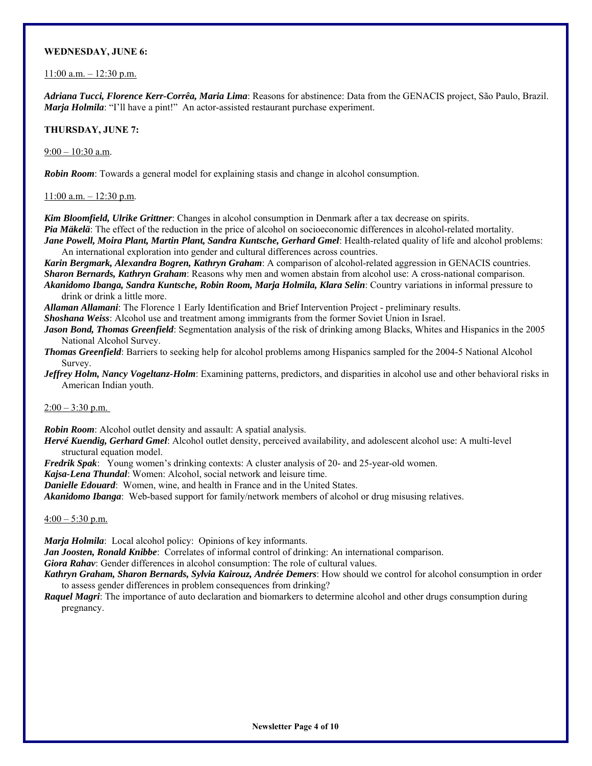#### **WEDNESDAY, JUNE 6:**

 $11:00$  a.m.  $-12:30$  p.m.

*Adriana Tucci, Florence Kerr-Corrêa, Maria Lima*: Reasons for abstinence: Data from the GENACIS project, São Paulo, Brazil. *Marja Holmila*: "I'll have a pint!" An actor-assisted restaurant purchase experiment.

#### **THURSDAY, JUNE 7:**

9:00 – 10:30 a.m.

*Robin Room*: Towards a general model for explaining stasis and change in alcohol consumption.

11:00 a.m. – 12:30 p.m.

*Kim Bloomfield, Ulrike Grittner*: Changes in alcohol consumption in Denmark after a tax decrease on spirits. *Pia Mäkelä*: The effect of the reduction in the price of alcohol on socioeconomic differences in alcohol-related mortality. *Jane Powell, Moira Plant, Martin Plant, Sandra Kuntsche, Gerhard Gmel*: Health-related quality of life and alcohol problems:

An international exploration into gender and cultural differences across countries.

*Karin Bergmark, Alexandra Bogren, Kathryn Graham*: A comparison of alcohol-related aggression in GENACIS countries. *Sharon Bernards, Kathryn Graham*: Reasons why men and women abstain from alcohol use: A cross-national comparison.

*Akanidomo Ibanga, Sandra Kuntsche, Robin Room, Marja Holmila, Klara Selin*: Country variations in informal pressure to drink or drink a little more.

*Allaman Allamani*: The Florence 1 Early Identification and Brief Intervention Project - preliminary results.

*Shoshana Weiss*: Alcohol use and treatment among immigrants from the former Soviet Union in Israel.

*Jason Bond, Thomas Greenfield*: Segmentation analysis of the risk of drinking among Blacks, Whites and Hispanics in the 2005 National Alcohol Survey.

*Thomas Greenfield*: Barriers to seeking help for alcohol problems among Hispanics sampled for the 2004-5 National Alcohol Survey.

*Jeffrey Holm, Nancy Vogeltanz-Holm*: Examining patterns, predictors, and disparities in alcohol use and other behavioral risks in American Indian youth.

#### $2:00 - 3:30$  p.m.

*Robin Room*: Alcohol outlet density and assault: A spatial analysis.

*Hervé Kuendig, Gerhard Gmel*: Alcohol outlet density, perceived availability, and adolescent alcohol use: A multi-level structural equation model.

*Fredrik Spak*: Young women's drinking contexts: A cluster analysis of 20- and 25-year-old women.

*Kajsa-Lena Thundal*: Women: Alcohol, social network and leisure time.

*Danielle Edouard*: Women, wine, and health in France and in the United States.

*Akanidomo Ibanga*: Web-based support for family/network members of alcohol or drug misusing relatives.

 $4:00 - 5:30$  p.m.

*Marja Holmila*: Local alcohol policy: Opinions of key informants.

*Jan Joosten, Ronald Knibbe*: Correlates of informal control of drinking: An international comparison.

*Giora Rahav*: Gender differences in alcohol consumption: The role of cultural values.

*Kathryn Graham, Sharon Bernards, Sylvia Kairouz, Andrée Demers*: How should we control for alcohol consumption in order to assess gender differences in problem consequences from drinking?

*Raquel Magri*: The importance of auto declaration and biomarkers to determine alcohol and other drugs consumption during pregnancy.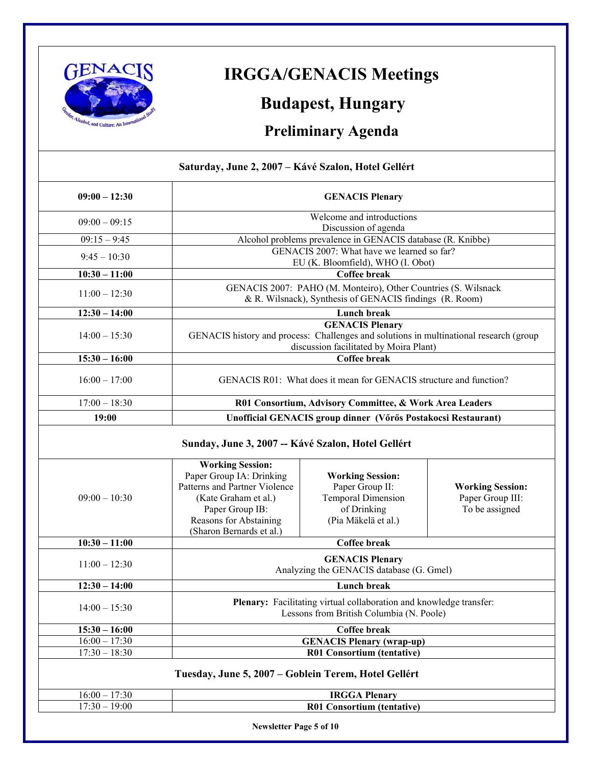

## **IRGGA/GENACIS Meetings**

### **Budapest, Hungary**

### **Preliminary Agenda**

| Saturday, June 2, 2007 – Kávé Szalon, Hotel Gellért |                                                                                                                                                            |                                                                                                                 |                                                               |  |  |
|-----------------------------------------------------|------------------------------------------------------------------------------------------------------------------------------------------------------------|-----------------------------------------------------------------------------------------------------------------|---------------------------------------------------------------|--|--|
| $09:00 - 12:30$                                     | <b>GENACIS Plenary</b>                                                                                                                                     |                                                                                                                 |                                                               |  |  |
| $09:00 - 09:15$                                     | Welcome and introductions                                                                                                                                  |                                                                                                                 |                                                               |  |  |
|                                                     | Discussion of agenda                                                                                                                                       |                                                                                                                 |                                                               |  |  |
| $09:15 - 9:45$                                      | Alcohol problems prevalence in GENACIS database (R. Knibbe)                                                                                                |                                                                                                                 |                                                               |  |  |
| $9:45 - 10:30$                                      | GENACIS 2007: What have we learned so far?<br>EU (K. Bloomfield), WHO (I. Obot)                                                                            |                                                                                                                 |                                                               |  |  |
| $10:30 - 11:00$                                     | <b>Coffee break</b>                                                                                                                                        |                                                                                                                 |                                                               |  |  |
| $11:00 - 12:30$                                     | GENACIS 2007: PAHO (M. Monteiro), Other Countries (S. Wilsnack<br>& R. Wilsnack), Synthesis of GENACIS findings (R. Room)                                  |                                                                                                                 |                                                               |  |  |
| $12:30 - 14:00$                                     |                                                                                                                                                            | <b>Lunch break</b>                                                                                              |                                                               |  |  |
| $14:00 - 15:30$                                     | <b>GENACIS Plenary</b><br>GENACIS history and process: Challenges and solutions in multinational research (group<br>discussion facilitated by Moira Plant) |                                                                                                                 |                                                               |  |  |
| $15:30 - 16:00$                                     | Coffee break                                                                                                                                               |                                                                                                                 |                                                               |  |  |
| $16:00 - 17:00$                                     | GENACIS R01: What does it mean for GENACIS structure and function?                                                                                         |                                                                                                                 |                                                               |  |  |
| $17:00 - 18:30$                                     | R01 Consortium, Advisory Committee, & Work Area Leaders                                                                                                    |                                                                                                                 |                                                               |  |  |
| 19:00                                               |                                                                                                                                                            | Unofficial GENACIS group dinner (Vőrős Postakocsi Restaurant)                                                   |                                                               |  |  |
|                                                     | Sunday, June 3, 2007 -- Kávé Szalon, Hotel Gellért<br><b>Working Session:</b>                                                                              |                                                                                                                 |                                                               |  |  |
|                                                     |                                                                                                                                                            |                                                                                                                 |                                                               |  |  |
| $09:00 - 10:30$                                     | Paper Group IA: Drinking<br>Patterns and Partner Violence<br>(Kate Graham et al.)<br>Paper Group IB:<br>Reasons for Abstaining<br>(Sharon Bernards et al.) | <b>Working Session:</b><br>Paper Group II:<br><b>Temporal Dimension</b><br>of Drinking<br>(Pia Mäkelä et al.)   | <b>Working Session:</b><br>Paper Group III:<br>To be assigned |  |  |
| $10:30 - 11:00$                                     |                                                                                                                                                            | Coffee break                                                                                                    |                                                               |  |  |
| $11:00 - 12:30$                                     |                                                                                                                                                            | <b>GENACIS Plenary</b><br>Analyzing the GENACIS database (G. Gmel)                                              |                                                               |  |  |
| $12:30 - 14:00$                                     |                                                                                                                                                            | <b>Lunch break</b>                                                                                              |                                                               |  |  |
| $14:00 - 15:30$                                     |                                                                                                                                                            | Plenary: Facilitating virtual collaboration and knowledge transfer:<br>Lessons from British Columbia (N. Poole) |                                                               |  |  |
| $15:30 - 16:00$                                     |                                                                                                                                                            | Coffee break                                                                                                    |                                                               |  |  |
| $16:00 - 17:30$                                     |                                                                                                                                                            | <b>GENACIS Plenary (wrap-up)</b>                                                                                |                                                               |  |  |
| $17:30 - 18:30$                                     |                                                                                                                                                            | R01 Consortium (tentative)                                                                                      |                                                               |  |  |
|                                                     | Tuesday, June 5, 2007 – Goblein Terem, Hotel Gellért                                                                                                       |                                                                                                                 |                                                               |  |  |
| $16:00 - 17:30$<br>$17:30 - 19:00$                  |                                                                                                                                                            | <b>IRGGA Plenary</b><br><b>R01 Consortium (tentative)</b>                                                       |                                                               |  |  |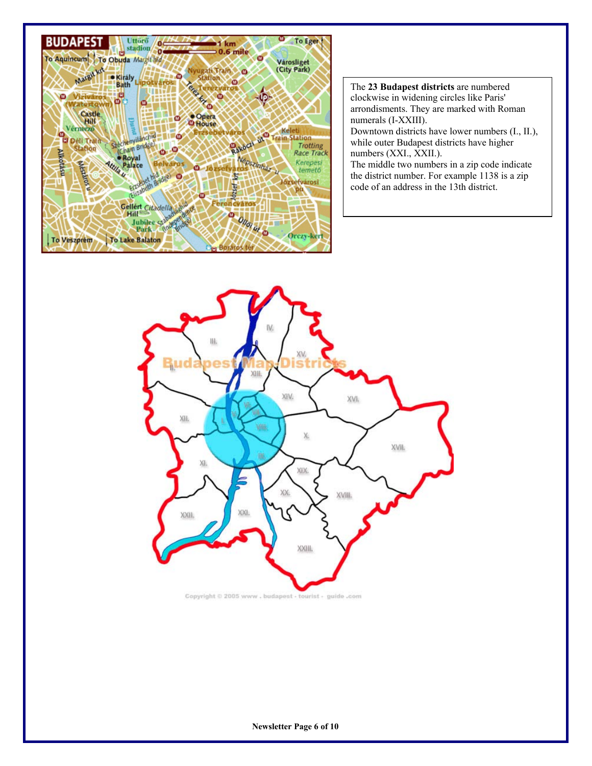

The **23 Budapest districts** are numbered clockwise in widening circles like Paris' arrondisments. They are marked with Roman numerals (I-XXIII). Downtown districts have lower numbers (I., II.), while outer Budapest districts have higher numbers (XXI., XXII.). The middle two numbers in a zip code indicate the district number. For example 1138 is a zip code of an address in the 13th district.

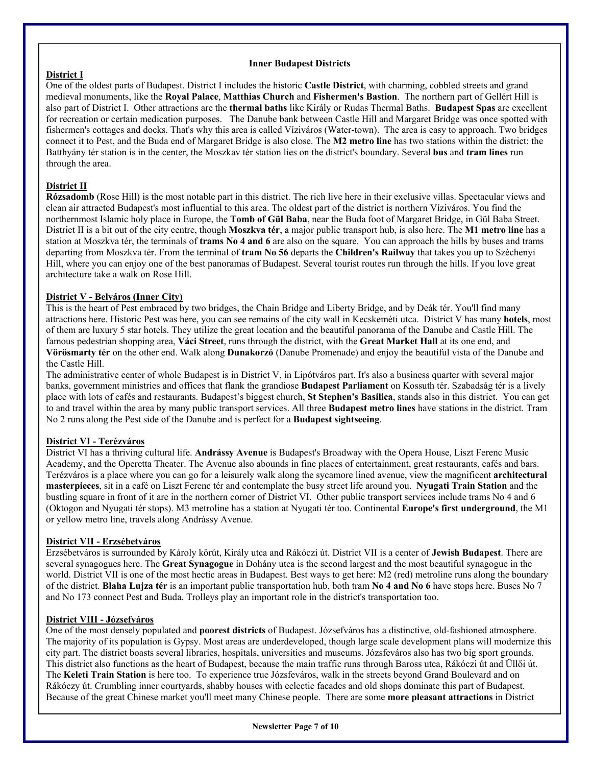#### **Inner Budapest Districts**

#### **District I**

One of the oldest parts of Budapest. District I includes the historic **[Castle District](http://www.budapest-tourist-guide.com/budapest-castle-district.html)**, with charming, cobbled streets and grand medieval monuments, like the **Royal Palace**, **Matthias Church** and **Fishermen's Bastion**. The northern part of Gellért Hill is also part of District I. Other attractions are the **thermal baths** like Király or Rudas Thermal Baths. **[Budapest Spas](http://www.budapest-tourist-guide.com/budapest-spas.html)** are excellent for recreation or certain medication purposes. The Danube bank between Castle Hill and Margaret Bridge was once spotted with fishermen's cottages and docks. That's why this area is called Víziváros (Water-town). The area is easy to approach. Two bridges connect it to Pest, and the Buda end of Margaret Bridge is also close. The **M2 metro line** has two stations within the district: the Batthyány tér station is in the center, the Moszkav tér station lies on the district's boundary. Several **bus** and **tram lines** run through the area.

#### **District II**

**Rózsadomb** (Rose Hill) is the most notable part in this district. The rich live here in their exclusive villas. Spectacular views and clean air attracted Budapest's most influential to this area. The oldest part of the district is northern Víziváros. You find the northernmost Islamic holy place in Europe, the **Tomb of Gül Baba**, near the Buda foot of Margaret Bridge, in Gül Baba Street. District II is a bit out of the city centre, though **Moszkva tér**, a major public transport hub, is also here. The **M1 metro line** has a station at Moszkva tér, the terminals of **trams No 4 and 6** are also on the square. You can approach the hills by buses and trams departing from Moszkva tér. From the terminal of **tram No 56** departs the **Children's Railway** that takes you up to Széchenyi Hill, where you can enjoy one of the best panoramas of Budapest. Several tourist routes run through the hills. If you love great architecture take a walk on Rose Hill.

#### **District V - Belváros (Inner City)**

This is the heart of Pest embraced by two bridges, the Chain Bridge and Liberty Bridge, and by Deák tér. You'll find many attractions here. Historic Pest was here, you can see remains of the city wall in Kecskeméti utca. District V has many **hotels**, most of them are luxury 5 star hotels. They utilize the great location and the beautiful panorama of the Danube and Castle Hill. The famous pedestrian shopping area, **Váci Street**, runs through the district, with the **Great Market Hall** at its one end, and **Vörösmarty tér** on the other end. Walk along **Dunakorzó** (Danube Promenade) and enjoy the beautiful vista of the Danube and the Castle Hill.

The administrative center of whole Budapest is in District V, in Lipótváros part. It's also a business quarter with several major banks, government ministries and offices that flank the grandiose **[Budapest Parliament](http://www.budapest-tourist-guide.com/budapest-parliament.html)** on Kossuth tér. Szabadság tér is a lively place with lots of cafés and restaurants. Budapest's biggest church, **St Stephen's Basilica**, stands also in this district. You can get to and travel within the area by many public transport services. All three **[Budapest metro lines](http://www.budapest-tourist-guide.com/budapest-metro.html)** have stations in the district. Tram No 2 runs along the Pest side of the Danube and is perfect for a **[Budapest sightseeing](http://www.budapest-tourist-guide.com/budapest-sightseeing.html)**.

#### **District VI - Terézváros**

District VI has a thriving cultural life. **Andrássy Avenue** is Budapest's Broadway with the Opera House, Liszt Ferenc Music Academy, and the Operetta Theater. The Avenue also abounds in fine places of entertainment, great restaurants, cafés and bars. Terézváros is a place where you can go for a leisurely walk along the sycamore lined avenue, view the magnificent **architectural masterpieces**, sit in a café on Liszt Ferenc tér and contemplate the busy street life around you. **Nyugati Train Station** and the bustling square in front of it are in the northern corner of District VI. Other public transport services include trams No 4 and 6 (Oktogon and Nyugati tér stops). M3 metroline has a station at Nyugati tér too. Continental **Europe's first underground**, the M1 or yellow metro line, travels along Andrássy Avenue.

#### **District VII - Erzsébetváros**

Erzsébetváros is surrounded by Károly körút, Király utca and Rákóczi út. District VII is a center of **Jewish Budapest**. There are several synagogues here. The **[Great Synagogue](http://www.budapest-tourist-guide.com/budapest-great-synagogue.html)** in Dohány utca is the second largest and the most beautiful synagogue in the world. District VII is one of the most hectic areas in Budapest. Best ways to get here: M2 (red) metroline runs along the boundary of the district. **Blaha Lujza tér** is an important public transportation hub, both tram **No 4 and No 6** have stops here. Buses No 7 and No 173 connect Pest and Buda. Trolleys play an important role in the district's transportation too.

#### **District VIII - Józsefváros**

One of the most densely populated and **poorest districts** of Budapest. Józsefváros has a distinctive, old-fashioned atmosphere. The majority of its population is Gypsy. Most areas are underdeveloped, though large scale development plans will modernize this city part. The district boasts several libraries, hospitals, universities and museums. Józsfeváros also has two big sport grounds. This district also functions as the heart of Budapest, because the main traffic runs through Baross utca, Rákóczi út and Üllői út. The **Keleti Train Station** is here too. To experience true Józsfeváros, walk in the streets beyond Grand Boulevard and on Rákóczy út. Crumbling inner courtyards, shabby houses with eclectic facades and old shops dominate this part of Budapest. Because of the great Chinese market you'll meet many Chinese people. There are some **more pleasant attractions** in District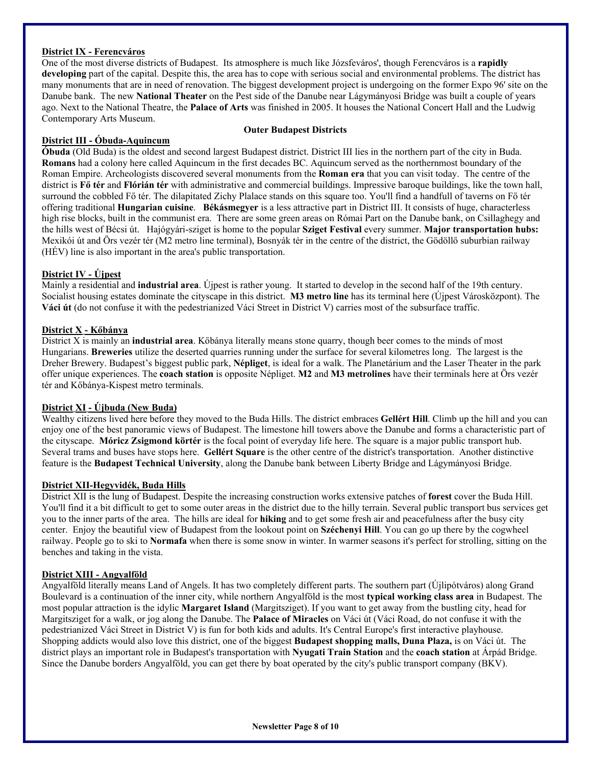#### **District IX - Ferencváros**

One of the most diverse districts of Budapest. Its atmosphere is much like Józsfeváros', though Ferencváros is a **rapidly developing** part of the capital. Despite this, the area has to cope with serious social and environmental problems. The district has many monuments that are in need of renovation. The biggest development project is undergoing on the former Expo 96' site on the Danube bank. The new **National Theater** on the Pest side of the Danube near Lágymányosi Bridge was built a couple of years ago. Next to the National Theatre, the **Palace of Arts** was finished in 2005. It houses the National Concert Hall and the Ludwig Contemporary Arts Museum.

#### **District III - Óbuda-Aquincum**

#### **Outer Budapest Districts**

**Óbuda** (Old Buda) is the oldest and second largest Budapest district. District III lies in the northern part of the city in Buda. **Romans** had a colony here called Aquincum in the first decades BC. Aquincum served as the northernmost boundary of the Roman Empire. Archeologists discovered several monuments from the **[Roman era](http://www.budapest-tourist-guide.com/budapest-history-roman-era.html)** that you can visit today. The centre of the district is **Fő tér** and **Flórián tér** with administrative and commercial buildings. Impressive baroque buildings, like the town hall, surround the cobbled Fő tér. The dilapitated Zichy Plalace stands on this square too. You'll find a handfull of taverns on Fő tér offering traditional **[Hungarian cuisine](http://www.budapest-tourist-guide.com/hungarian-cuisine.html)**. **Békásmegyer** is a less attractive part in District III. It consists of huge, characterless high rise blocks, built in the communist era. There are some green areas on Római Part on the Danube bank, on Csillaghegy and the hills west of Bécsi út. Hajógyári-sziget is home to the popular **[Sziget Festival](http://www.budapest-tourist-guide.com/budapest-sziget-festival.html)** every summer. **Major transportation hubs:** Mexikói út and Örs vezér tér (M2 metro line terminal), Bosnyák tér in the centre of the district, the Gödöllő suburbian railway (HÉV) line is also important in the area's public transportation.

#### **District IV - Újpest**

Mainly a residential and **industrial area**. Újpest is rather young. It started to develop in the second half of the 19th century. Socialist housing estates dominate the cityscape in this district. **M3 metro line** has its terminal here (Újpest Városközpont). The **Váci út** (do not confuse it with the pedestrianized Váci Street in District V) carries most of the subsurface traffic.

#### **District X - Kőbánya**

District X is mainly an **industrial area**. Kőbánya literally means stone quarry, though beer comes to the minds of most Hungarians. **Breweries** utilize the deserted quarries running under the surface for several kilometres long. The largest is the Dreher Brewery. Budapest's biggest public park, **Népliget**, is ideal for a walk. The Planetárium and the Laser Theater in the park offer unique experiences. The **coach station** is opposite Népliget. **M2** and **M3 metrolines** have their terminals here at Örs vezér tér and Kőbánya-Kispest metro terminals.

#### **District XI - Újbuda (New Buda)**

Wealthy citizens lived here before they moved to the Buda Hills. The district embraces **[Gellért Hill](http://www.budapest-tourist-guide.com/budapest-gellert-hill.html)**. Climb up the hill and you can enjoy one of the best panoramic views of Budapest. The limestone hill towers above the Danube and forms a characteristic part of the cityscape. **Móricz Zsigmond körtér** is the focal point of everyday life here. The square is a major public transport hub. Several trams and buses have stops here. **Gellért Square** is the other centre of the district's transportation. Another distinctive feature is the **Budapest Technical University**, along the Danube bank between Liberty Bridge and Lágymányosi Bridge.

#### **District XII-Hegyvidék, Buda Hills**

District XII is the lung of Budapest. Despite the increasing construction works extensive patches of **forest** cover the Buda Hill. You'll find it a bit difficult to get to some outer areas in the district due to the hilly terrain. Several public transport bus services get you to the inner parts of the area. The hills are ideal for **hiking** and to get some fresh air and peacefulness after the busy city center. Enjoy the beautiful view of Budapest from the lookout point on **Széchenyi Hill**. You can go up there by the cogwheel railway. People go to ski to **Normafa** when there is some snow in winter. In warmer seasons it's perfect for strolling, sitting on the benches and taking in the vista.

#### **District XIII - Angyalföld**

Angyalföld literally means Land of Angels. It has two completely different parts. The southern part (Újlipótváros) along Grand Boulevard is a continuation of the inner city, while northern Angyalföld is the most **typical working class area** in Budapest. The most popular attraction is the idylic **[Margaret Island](http://www.budapest-tourist-guide.com/margaret-island.html)** (Margitsziget). If you want to get away from the bustling city, head for Margitsziget for a walk, or jog along the Danube. The **Palace of Miracles** on Váci út (Váci Road, do not confuse it with the pedestrianized Váci Street in District V) is fun for both kids and adults. It's Central Europe's first interactive playhouse. Shopping addicts would also love this district, one of the biggest **[Budapest shopping malls](http://www.budapest-tourist-guide.com/budapest-shopping-malls.html), Duna Plaza,** is on Váci út. The district plays an important role in Budapest's transportation with **Nyugati Train Station** and the **coach station** at Árpád Bridge. Since the Danube borders Angyalföld, you can get there by boat operated by the city's public transport company (BKV).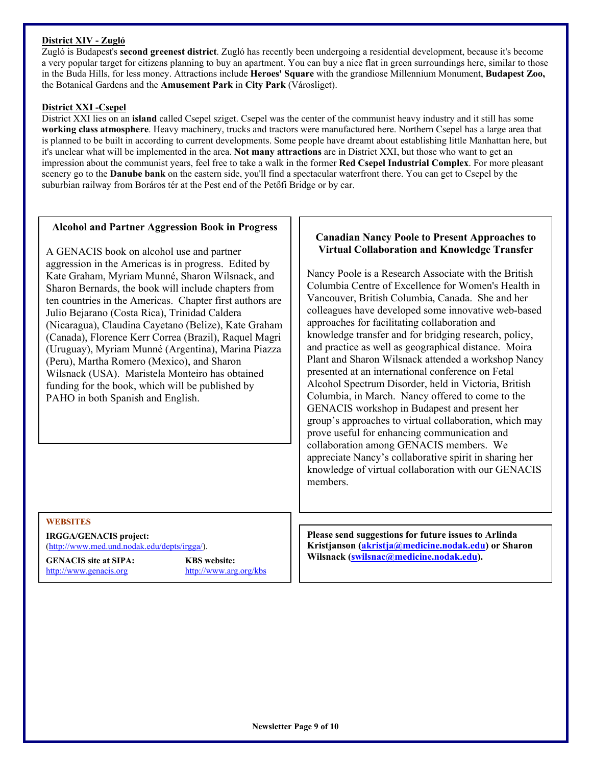#### **District XIV - Zugló**

Zugló is Budapest's **second greenest district**. Zugló has recently been undergoing a residential development, because it's become a very popular target for citizens planning to buy an apartment. You can buy a nice flat in green surroundings here, similar to those in the Buda Hills, for less money. Attractions include **[Heroes' Square](http://www.budapest-tourist-guide.com/heroes-square.html)** with the grandiose Millennium Monument, **[Budapest Zoo,](http://www.budapest-tourist-guide.com/budapest-zoo.html)** the Botanical Gardens and the **Amusement Park** in **[City Park](http://www.budapest-tourist-guide.com/budapest-city-park.html)** (Városliget).

#### **District XXI -Csepel**

District XXI lies on an **island** called Csepel sziget. Csepel was the center of the communist heavy industry and it still has some **working class atmosphere**. Heavy machinery, trucks and tractors were manufactured here. Northern Csepel has a large area that is planned to be built in according to current developments. Some people have dreamt about establishing little Manhattan here, but it's unclear what will be implemented in the area. **Not many attractions** are in District XXI, but those who want to get an impression about the communist years, feel free to take a walk in the former **Red Csepel Industrial Complex**. For more pleasant scenery go to the **Danube bank** on the eastern side, you'll find a spectacular waterfront there. You can get to Csepel by the suburbian railway from Boráros tér at the Pest end of the Petőfi Bridge or by car.

#### **Alcohol and Partner Aggression Book in Progress**

A GENACIS book on alcohol use and partner aggression in the Americas is in progress. Edited by Kate Graham, Myriam Munné, Sharon Wilsnack, and Sharon Bernards, the book will include chapters from ten countries in the Americas. Chapter first authors are Julio Bejarano (Costa Rica), Trinidad Caldera (Nicaragua), Claudina Cayetano (Belize), Kate Graham (Canada), Florence Kerr Correa (Brazil), Raquel Magri (Uruguay), Myriam Munné (Argentina), Marina Piazza (Peru), Martha Romero (Mexico), and Sharon Wilsnack (USA). Maristela Monteiro has obtained funding for the book, which will be published by PAHO in both Spanish and English.

#### **Canadian Nancy Poole to Present Approaches to Virtual Collaboration and Knowledge Transfer**

Nancy Poole is a Research Associate with the British Columbia Centre of Excellence for Women's Health in Vancouver, British Columbia, Canada. She and her colleagues have developed some innovative web-based approaches for facilitating collaboration and knowledge transfer and for bridging research, policy, and practice as well as geographical distance. Moira Plant and Sharon Wilsnack attended a workshop Nancy presented at an international conference on Fetal Alcohol Spectrum Disorder, held in Victoria, British Columbia, in March. Nancy offered to come to the GENACIS workshop in Budapest and present her group's approaches to virtual collaboration, which may prove useful for enhancing communication and collaboration among GENACIS members. We appreciate Nancy's collaborative spirit in sharing her knowledge of virtual collaboration with our GENACIS members.

#### **WEBSITES**

**IRGGA/GENACIS project:**  ([http://www.med.und.nodak.edu/depts/irgga/\)](http://www.med.und.nodak.edu/depts/irgga/).

[http://www.genacis.org](http://www.sfa-ispa.ch/genacis/intro.htm) <http://www.arg.org/kbs>

**Please send suggestions for future issues to Arlinda Kristjanson ( [akristja@medicine.nodak.edu](mailto:akristja@medicine.nodak.edu)) or Sharon Wilsnack (SWILSNACIS site at SIPA:** KBS website:  $\vert$  Wilsnack (Swilsnac@medicine.nodak.edu).